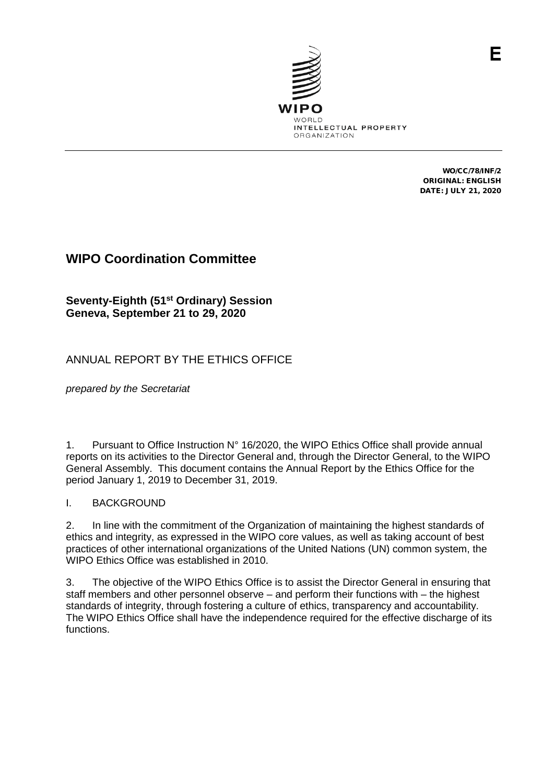

WO/CC/78/INF/2 ORIGINAL: ENGLISH DATE: JULY 21, 2020

# **WIPO Coordination Committee**

**Seventy-Eighth (51st Ordinary) Session Geneva, September 21 to 29, 2020**

## ANNUAL REPORT BY THE ETHICS OFFICE

*prepared by the Secretariat*

1. Pursuant to Office Instruction N° 16/2020, the WIPO Ethics Office shall provide annual reports on its activities to the Director General and, through the Director General, to the WIPO General Assembly. This document contains the Annual Report by the Ethics Office for the period January 1, 2019 to December 31, 2019.

### I. BACKGROUND

2. In line with the commitment of the Organization of maintaining the highest standards of ethics and integrity, as expressed in the WIPO core values, as well as taking account of best practices of other international organizations of the United Nations (UN) common system, the WIPO Ethics Office was established in 2010.

3. The objective of the WIPO Ethics Office is to assist the Director General in ensuring that staff members and other personnel observe – and perform their functions with – the highest standards of integrity, through fostering a culture of ethics, transparency and accountability. The WIPO Ethics Office shall have the independence required for the effective discharge of its functions.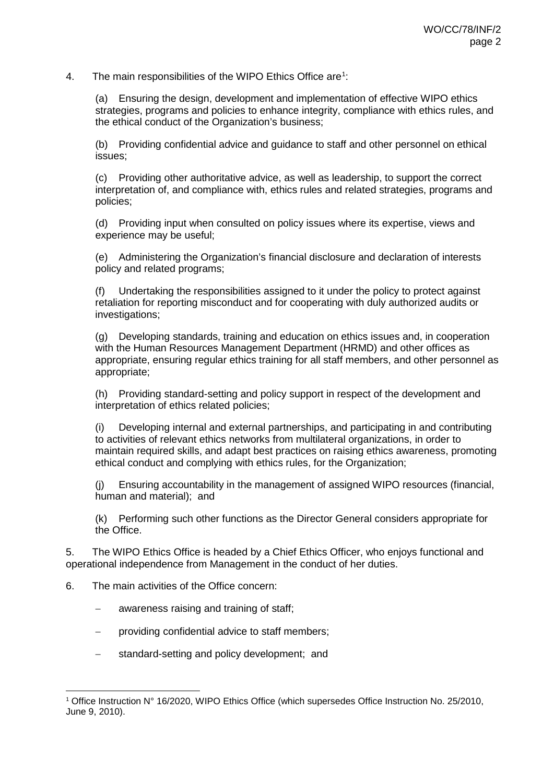4. The main responsibilities of the WIPO Ethics Office are<sup>[1](#page-1-0)</sup>:

(a) Ensuring the design, development and implementation of effective WIPO ethics strategies, programs and policies to enhance integrity, compliance with ethics rules, and the ethical conduct of the Organization's business;

(b) Providing confidential advice and guidance to staff and other personnel on ethical issues;

(c) Providing other authoritative advice, as well as leadership, to support the correct interpretation of, and compliance with, ethics rules and related strategies, programs and policies;

(d) Providing input when consulted on policy issues where its expertise, views and experience may be useful;

(e) Administering the Organization's financial disclosure and declaration of interests policy and related programs;

(f) Undertaking the responsibilities assigned to it under the policy to protect against retaliation for reporting misconduct and for cooperating with duly authorized audits or investigations;

(g) Developing standards, training and education on ethics issues and, in cooperation with the Human Resources Management Department (HRMD) and other offices as appropriate, ensuring regular ethics training for all staff members, and other personnel as appropriate;

(h) Providing standard-setting and policy support in respect of the development and interpretation of ethics related policies;

(i) Developing internal and external partnerships, and participating in and contributing to activities of relevant ethics networks from multilateral organizations, in order to maintain required skills, and adapt best practices on raising ethics awareness, promoting ethical conduct and complying with ethics rules, for the Organization;

(j) Ensuring accountability in the management of assigned WIPO resources (financial, human and material); and

(k) Performing such other functions as the Director General considers appropriate for the Office.

5. The WIPO Ethics Office is headed by a Chief Ethics Officer, who enjoys functional and operational independence from Management in the conduct of her duties.

- 6. The main activities of the Office concern:
	- awareness raising and training of staff;
	- − providing confidential advice to staff members;
	- − standard-setting and policy development; and

<span id="page-1-0"></span> <sup>1</sup> Office Instruction N° 16/2020, WIPO Ethics Office (which supersedes Office Instruction No. 25/2010, June 9, 2010).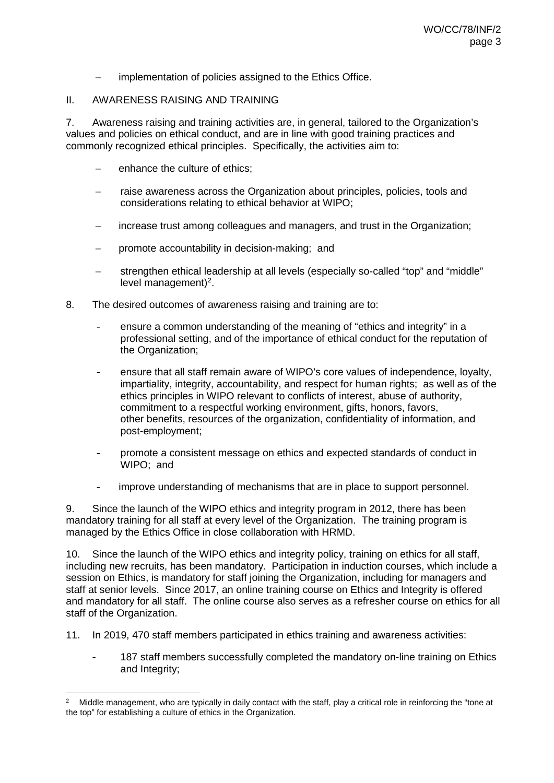implementation of policies assigned to the Ethics Office.

#### II. AWARENESS RAISING AND TRAINING

7. Awareness raising and training activities are, in general, tailored to the Organization's values and policies on ethical conduct, and are in line with good training practices and commonly recognized ethical principles. Specifically, the activities aim to:

- enhance the culture of ethics:
- raise awareness across the Organization about principles, policies, tools and considerations relating to ethical behavior at WIPO;
- increase trust among colleagues and managers, and trust in the Organization;
- promote accountability in decision-making; and
- − strengthen ethical leadership at all levels (especially so-called "top" and "middle" level management)<sup>[2](#page-2-0)</sup>.
- 8. The desired outcomes of awareness raising and training are to:
	- ensure a common understanding of the meaning of "ethics and integrity" in a professional setting, and of the importance of ethical conduct for the reputation of the Organization;
	- ensure that all staff remain aware of WIPO's core values of independence, loyalty, impartiality, integrity, accountability, and respect for human rights; as well as of the ethics principles in WIPO relevant to conflicts of interest, abuse of authority, commitment to a respectful working environment, gifts, honors, favors, other benefits, resources of the organization, confidentiality of information, and post-employment;
	- promote a consistent message on ethics and expected standards of conduct in WIPO; and
	- improve understanding of mechanisms that are in place to support personnel.

9. Since the launch of the WIPO ethics and integrity program in 2012, there has been mandatory training for all staff at every level of the Organization. The training program is managed by the Ethics Office in close collaboration with HRMD.

10. Since the launch of the WIPO ethics and integrity policy, training on ethics for all staff, including new recruits, has been mandatory. Participation in induction courses, which include a session on Ethics, is mandatory for staff joining the Organization, including for managers and staff at senior levels. Since 2017, an online training course on Ethics and Integrity is offered and mandatory for all staff. The online course also serves as a refresher course on ethics for all staff of the Organization.

- 11. In 2019, 470 staff members participated in ethics training and awareness activities:
	- 187 staff members successfully completed the mandatory on-line training on Ethics and Integrity;

<span id="page-2-0"></span> <sup>2</sup> Middle management, who are typically in daily contact with the staff, play a critical role in reinforcing the "tone at the top" for establishing a culture of ethics in the Organization.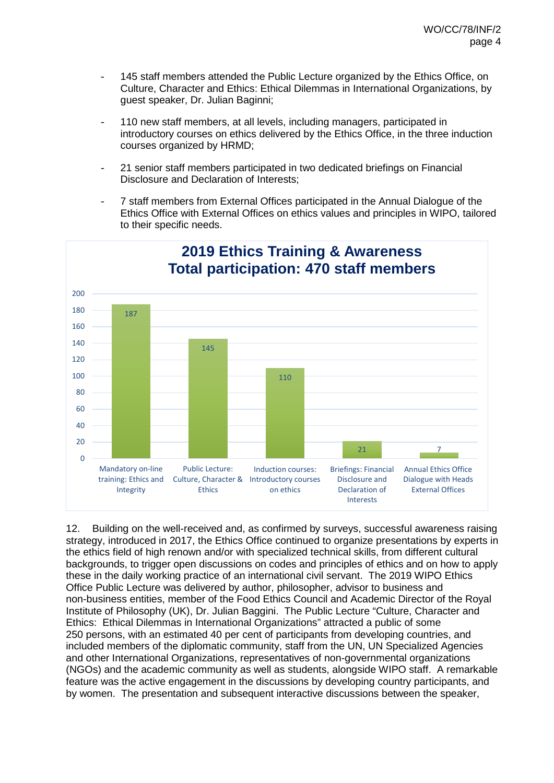- 145 staff members attended the Public Lecture organized by the Ethics Office, on Culture, Character and Ethics: Ethical Dilemmas in International Organizations, by guest speaker, Dr. Julian Baginni;
- 110 new staff members, at all levels, including managers, participated in introductory courses on ethics delivered by the Ethics Office, in the three induction courses organized by HRMD;
- 21 senior staff members participated in two dedicated briefings on Financial Disclosure and Declaration of Interests;
- 7 staff members from External Offices participated in the Annual Dialogue of the Ethics Office with External Offices on ethics values and principles in WIPO, tailored to their specific needs.



12. Building on the well-received and, as confirmed by surveys, successful awareness raising strategy, introduced in 2017, the Ethics Office continued to organize presentations by experts in the ethics field of high renown and/or with specialized technical skills, from different cultural backgrounds, to trigger open discussions on codes and principles of ethics and on how to apply these in the daily working practice of an international civil servant. The 2019 WIPO Ethics Office Public Lecture was delivered by author, philosopher, advisor to business and non-business entities, member of the Food Ethics Council and Academic Director of the Royal Institute of Philosophy (UK), Dr. Julian Baggini. The Public Lecture "Culture, Character and Ethics: Ethical Dilemmas in International Organizations" attracted a public of some 250 persons, with an estimated 40 per cent of participants from developing countries, and included members of the diplomatic community, staff from the UN, UN Specialized Agencies and other International Organizations, representatives of non-governmental organizations (NGOs) and the academic community as well as students, alongside WIPO staff. A remarkable feature was the active engagement in the discussions by developing country participants, and by women. The presentation and subsequent interactive discussions between the speaker,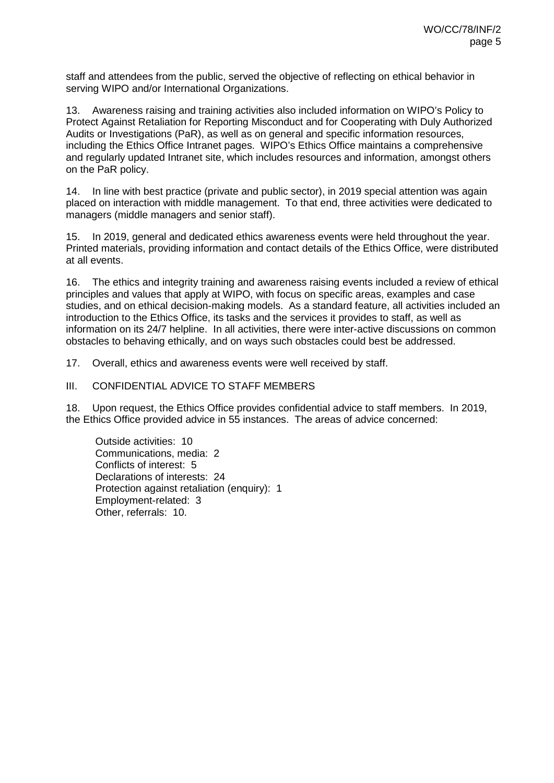staff and attendees from the public, served the objective of reflecting on ethical behavior in serving WIPO and/or International Organizations.

13. Awareness raising and training activities also included information on WIPO's Policy to Protect Against Retaliation for Reporting Misconduct and for Cooperating with Duly Authorized Audits or Investigations (PaR), as well as on general and specific information resources, including the Ethics Office Intranet pages. WIPO's Ethics Office maintains a comprehensive and regularly updated Intranet site, which includes resources and information, amongst others on the PaR policy.

14. In line with best practice (private and public sector), in 2019 special attention was again placed on interaction with middle management. To that end, three activities were dedicated to managers (middle managers and senior staff).

15. In 2019, general and dedicated ethics awareness events were held throughout the year. Printed materials, providing information and contact details of the Ethics Office, were distributed at all events.

16. The ethics and integrity training and awareness raising events included a review of ethical principles and values that apply at WIPO, with focus on specific areas, examples and case studies, and on ethical decision-making models. As a standard feature, all activities included an introduction to the Ethics Office, its tasks and the services it provides to staff, as well as information on its 24/7 helpline. In all activities, there were inter-active discussions on common obstacles to behaving ethically, and on ways such obstacles could best be addressed.

17. Overall, ethics and awareness events were well received by staff.

#### III. CONFIDENTIAL ADVICE TO STAFF MEMBERS

18. Upon request, the Ethics Office provides confidential advice to staff members. In 2019, the Ethics Office provided advice in 55 instances. The areas of advice concerned:

Outside activities: 10 Communications, media: 2 Conflicts of interest: 5 Declarations of interests: 24 Protection against retaliation (enquiry): 1 Employment-related: 3 Other, referrals: 10.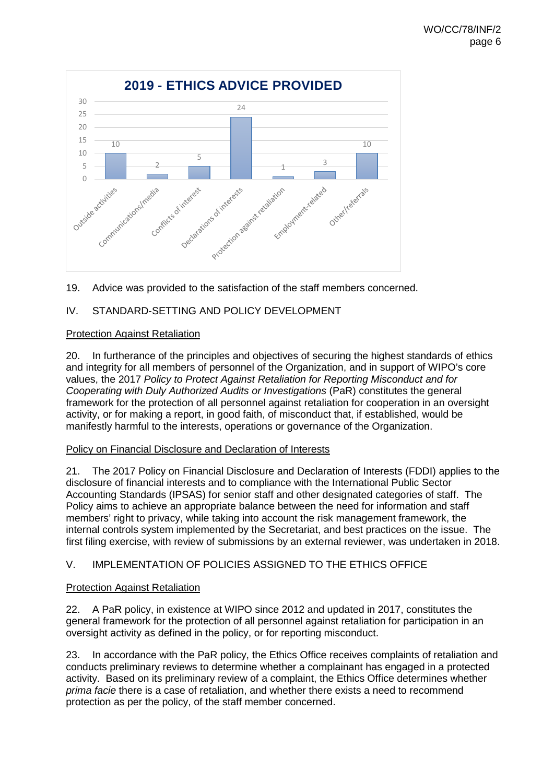

19. Advice was provided to the satisfaction of the staff members concerned.

### IV. STANDARD-SETTING AND POLICY DEVELOPMENT

### Protection Against Retaliation

20. In furtherance of the principles and objectives of securing the highest standards of ethics and integrity for all members of personnel of the Organization, and in support of WIPO's core values, the 2017 *Policy to Protect Against Retaliation for Reporting Misconduct and for Cooperating with Duly Authorized Audits or Investigations* (PaR) constitutes the general framework for the protection of all personnel against retaliation for cooperation in an oversight activity, or for making a report, in good faith, of misconduct that, if established, would be manifestly harmful to the interests, operations or governance of the Organization.

#### Policy on Financial Disclosure and Declaration of Interests

21. The 2017 Policy on Financial Disclosure and Declaration of Interests (FDDI) applies to the disclosure of financial interests and to compliance with the International Public Sector Accounting Standards (IPSAS) for senior staff and other designated categories of staff. The Policy aims to achieve an appropriate balance between the need for information and staff members' right to privacy, while taking into account the risk management framework, the internal controls system implemented by the Secretariat, and best practices on the issue. The first filing exercise, with review of submissions by an external reviewer, was undertaken in 2018.

### V. IMPLEMENTATION OF POLICIES ASSIGNED TO THE ETHICS OFFICE

### Protection Against Retaliation

22. A PaR policy, in existence at WIPO since 2012 and updated in 2017, constitutes the general framework for the protection of all personnel against retaliation for participation in an oversight activity as defined in the policy, or for reporting misconduct.

23. In accordance with the PaR policy, the Ethics Office receives complaints of retaliation and conducts preliminary reviews to determine whether a complainant has engaged in a protected activity. Based on its preliminary review of a complaint, the Ethics Office determines whether *prima facie* there is a case of retaliation, and whether there exists a need to recommend protection as per the policy, of the staff member concerned.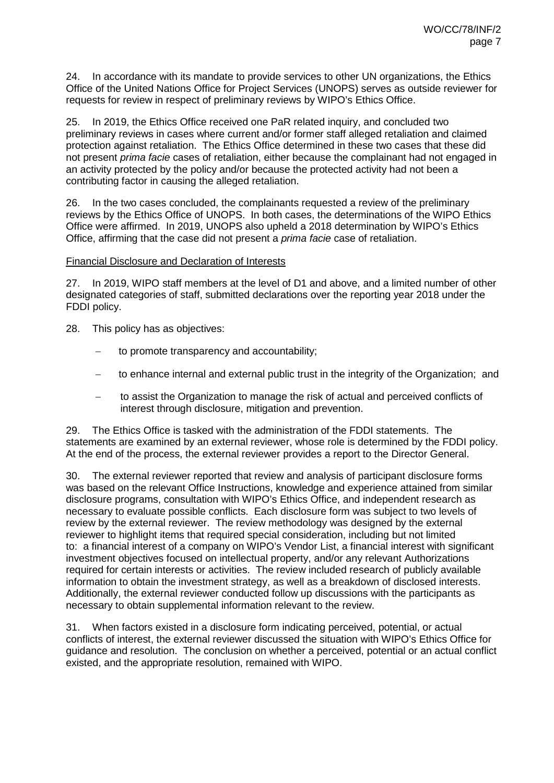24. In accordance with its mandate to provide services to other UN organizations, the Ethics Office of the United Nations Office for Project Services (UNOPS) serves as outside reviewer for requests for review in respect of preliminary reviews by WIPO's Ethics Office.

25. In 2019, the Ethics Office received one PaR related inquiry, and concluded two preliminary reviews in cases where current and/or former staff alleged retaliation and claimed protection against retaliation. The Ethics Office determined in these two cases that these did not present *prima facie* cases of retaliation, either because the complainant had not engaged in an activity protected by the policy and/or because the protected activity had not been a contributing factor in causing the alleged retaliation.

26. In the two cases concluded, the complainants requested a review of the preliminary reviews by the Ethics Office of UNOPS. In both cases, the determinations of the WIPO Ethics Office were affirmed. In 2019, UNOPS also upheld a 2018 determination by WIPO's Ethics Office, affirming that the case did not present a *prima facie* case of retaliation.

#### Financial Disclosure and Declaration of Interests

27. In 2019, WIPO staff members at the level of D1 and above, and a limited number of other designated categories of staff, submitted declarations over the reporting year 2018 under the FDDI policy.

- 28. This policy has as objectives:
	- to promote transparency and accountability;
	- to enhance internal and external public trust in the integrity of the Organization; and
	- to assist the Organization to manage the risk of actual and perceived conflicts of interest through disclosure, mitigation and prevention.

29. The Ethics Office is tasked with the administration of the FDDI statements. The statements are examined by an external reviewer, whose role is determined by the FDDI policy. At the end of the process, the external reviewer provides a report to the Director General.

30. The external reviewer reported that review and analysis of participant disclosure forms was based on the relevant Office Instructions, knowledge and experience attained from similar disclosure programs, consultation with WIPO's Ethics Office, and independent research as necessary to evaluate possible conflicts. Each disclosure form was subject to two levels of review by the external reviewer. The review methodology was designed by the external reviewer to highlight items that required special consideration, including but not limited to: a financial interest of a company on WIPO's Vendor List, a financial interest with significant investment objectives focused on intellectual property, and/or any relevant Authorizations required for certain interests or activities. The review included research of publicly available information to obtain the investment strategy, as well as a breakdown of disclosed interests. Additionally, the external reviewer conducted follow up discussions with the participants as necessary to obtain supplemental information relevant to the review.

31. When factors existed in a disclosure form indicating perceived, potential, or actual conflicts of interest, the external reviewer discussed the situation with WIPO's Ethics Office for guidance and resolution. The conclusion on whether a perceived, potential or an actual conflict existed, and the appropriate resolution, remained with WIPO.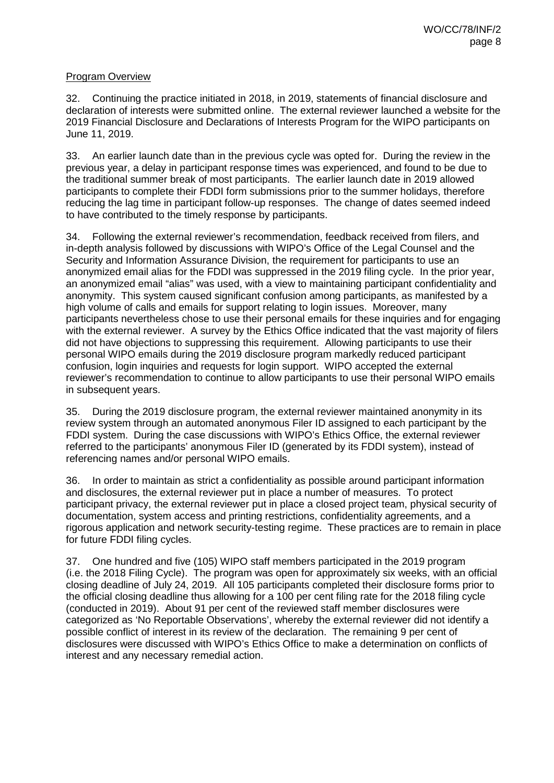#### Program Overview

32. Continuing the practice initiated in 2018, in 2019, statements of financial disclosure and declaration of interests were submitted online. The external reviewer launched a website for the 2019 Financial Disclosure and Declarations of Interests Program for the WIPO participants on June 11, 2019.

33. An earlier launch date than in the previous cycle was opted for. During the review in the previous year, a delay in participant response times was experienced, and found to be due to the traditional summer break of most participants. The earlier launch date in 2019 allowed participants to complete their FDDI form submissions prior to the summer holidays, therefore reducing the lag time in participant follow-up responses. The change of dates seemed indeed to have contributed to the timely response by participants.

34. Following the external reviewer's recommendation, feedback received from filers, and in-depth analysis followed by discussions with WIPO's Office of the Legal Counsel and the Security and Information Assurance Division, the requirement for participants to use an anonymized email alias for the FDDI was suppressed in the 2019 filing cycle. In the prior year, an anonymized email "alias" was used, with a view to maintaining participant confidentiality and anonymity. This system caused significant confusion among participants, as manifested by a high volume of calls and emails for support relating to login issues. Moreover, many participants nevertheless chose to use their personal emails for these inquiries and for engaging with the external reviewer. A survey by the Ethics Office indicated that the vast majority of filers did not have objections to suppressing this requirement. Allowing participants to use their personal WIPO emails during the 2019 disclosure program markedly reduced participant confusion, login inquiries and requests for login support. WIPO accepted the external reviewer's recommendation to continue to allow participants to use their personal WIPO emails in subsequent years.

35. During the 2019 disclosure program, the external reviewer maintained anonymity in its review system through an automated anonymous Filer ID assigned to each participant by the FDDI system. During the case discussions with WIPO's Ethics Office, the external reviewer referred to the participants' anonymous Filer ID (generated by its FDDI system), instead of referencing names and/or personal WIPO emails.

36. In order to maintain as strict a confidentiality as possible around participant information and disclosures, the external reviewer put in place a number of measures. To protect participant privacy, the external reviewer put in place a closed project team, physical security of documentation, system access and printing restrictions, confidentiality agreements, and a rigorous application and network security-testing regime. These practices are to remain in place for future FDDI filing cycles.

37. One hundred and five (105) WIPO staff members participated in the 2019 program (i.e. the 2018 Filing Cycle). The program was open for approximately six weeks, with an official closing deadline of July 24, 2019. All 105 participants completed their disclosure forms prior to the official closing deadline thus allowing for a 100 per cent filing rate for the 2018 filing cycle (conducted in 2019). About 91 per cent of the reviewed staff member disclosures were categorized as 'No Reportable Observations', whereby the external reviewer did not identify a possible conflict of interest in its review of the declaration. The remaining 9 per cent of disclosures were discussed with WIPO's Ethics Office to make a determination on conflicts of interest and any necessary remedial action.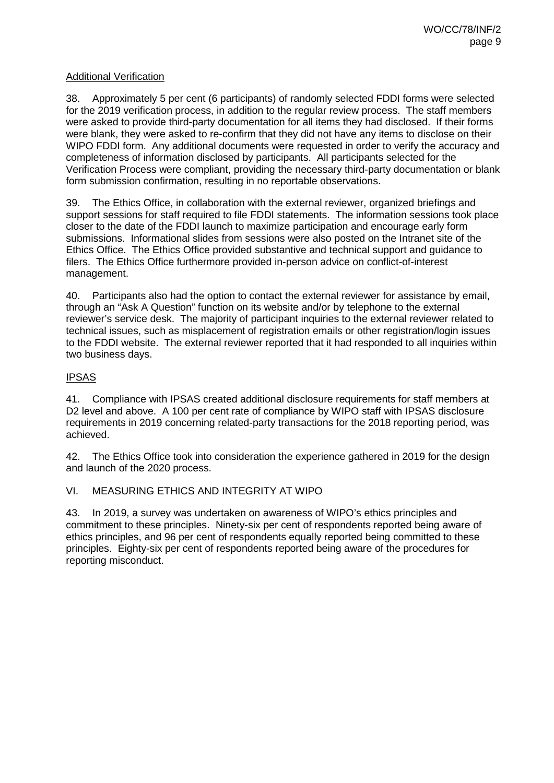#### Additional Verification

38. Approximately 5 per cent (6 participants) of randomly selected FDDI forms were selected for the 2019 verification process, in addition to the regular review process. The staff members were asked to provide third-party documentation for all items they had disclosed. If their forms were blank, they were asked to re-confirm that they did not have any items to disclose on their WIPO FDDI form. Any additional documents were requested in order to verify the accuracy and completeness of information disclosed by participants. All participants selected for the Verification Process were compliant, providing the necessary third-party documentation or blank form submission confirmation, resulting in no reportable observations.

39. The Ethics Office, in collaboration with the external reviewer, organized briefings and support sessions for staff required to file FDDI statements. The information sessions took place closer to the date of the FDDI launch to maximize participation and encourage early form submissions. Informational slides from sessions were also posted on the Intranet site of the Ethics Office. The Ethics Office provided substantive and technical support and guidance to filers. The Ethics Office furthermore provided in-person advice on conflict-of-interest management.

40. Participants also had the option to contact the external reviewer for assistance by email, through an "Ask A Question" function on its website and/or by telephone to the external reviewer's service desk. The majority of participant inquiries to the external reviewer related to technical issues, such as misplacement of registration emails or other registration/login issues to the FDDI website. The external reviewer reported that it had responded to all inquiries within two business days.

### IPSAS

41. Compliance with IPSAS created additional disclosure requirements for staff members at D2 level and above. A 100 per cent rate of compliance by WIPO staff with IPSAS disclosure requirements in 2019 concerning related-party transactions for the 2018 reporting period, was achieved.

42. The Ethics Office took into consideration the experience gathered in 2019 for the design and launch of the 2020 process.

VI. MEASURING ETHICS AND INTEGRITY AT WIPO

43. In 2019, a survey was undertaken on awareness of WIPO's ethics principles and commitment to these principles. Ninety-six per cent of respondents reported being aware of ethics principles, and 96 per cent of respondents equally reported being committed to these principles. Eighty-six per cent of respondents reported being aware of the procedures for reporting misconduct.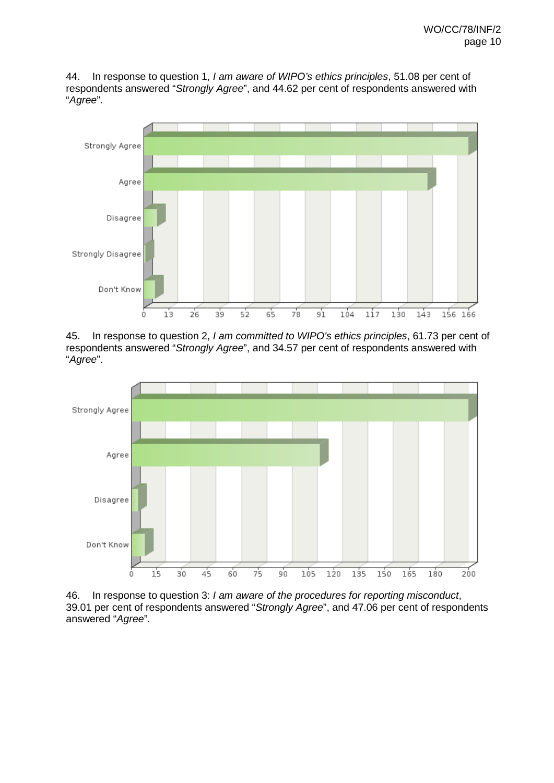44. In response to question 1, *I am aware of WIPO's ethics principles*, 51.08 per cent of respondents answered "*Strongly Agree*", and 44.62 per cent of respondents answered with "*Agree*".



45. In response to question 2, *I am committed to WIPO's ethics principles*, 61.73 per cent of respondents answered "*Strongly Agree*", and 34.57 per cent of respondents answered with "*Agree*".



46. In response to question 3: *I am aware of the procedures for reporting misconduct*, 39.01 per cent of respondents answered "*Strongly Agree*", and 47.06 per cent of respondents answered "*Agree*".